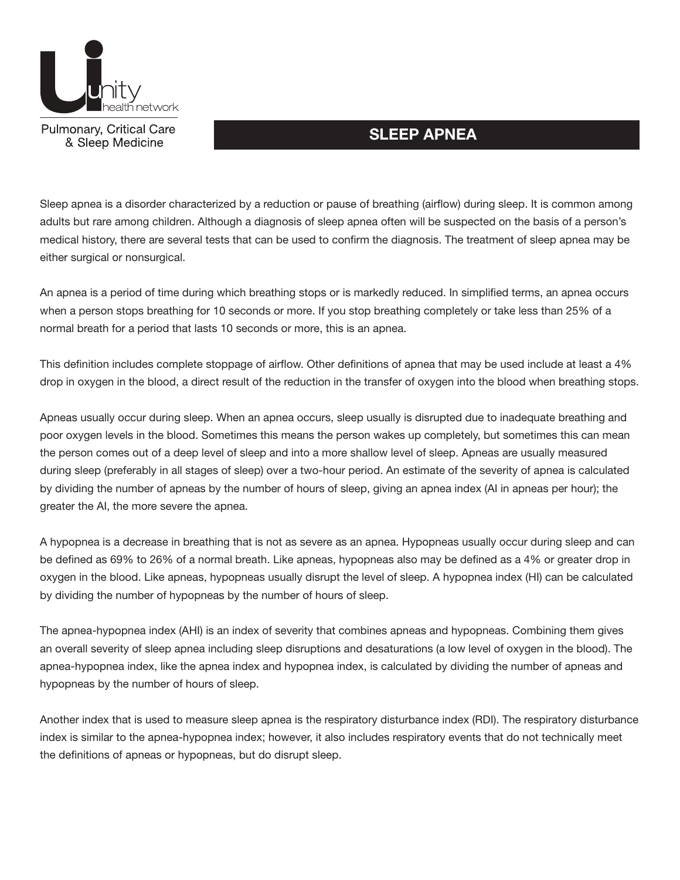

Pulmonary, Critical Care<br>
& Sleep Medicine

Sleep apnea is a disorder characterized by a reduction or pause of breathing (airflow) during sleep. It is common among adults but rare among children. Although a diagnosis of sleep apnea often will be suspected on the basis of a person's medical history, there are several tests that can be used to confirm the diagnosis. The treatment of sleep apnea may be either surgical or nonsurgical.

An apnea is a period of time during which breathing stops or is markedly reduced. In simplified terms, an apnea occurs when a person stops breathing for 10 seconds or more. If you stop breathing completely or take less than 25% of a normal breath for a period that lasts 10 seconds or more, this is an apnea.

This definition includes complete stoppage of airflow. Other definitions of apnea that may be used include at least a 4% drop in oxygen in the blood, a direct result of the reduction in the transfer of oxygen into the blood when breathing stops.

Apneas usually occur during sleep. When an apnea occurs, sleep usually is disrupted due to inadequate breathing and poor oxygen levels in the blood. Sometimes this means the person wakes up completely, but sometimes this can mean the person comes out of a deep level of sleep and into a more shallow level of sleep. Apneas are usually measured during sleep (preferably in all stages of sleep) over a two-hour period. An estimate of the severity of apnea is calculated by dividing the number of apneas by the number of hours of sleep, giving an apnea index (AI in apneas per hour); the greater the AI, the more severe the apnea.

A hypopnea is a decrease in breathing that is not as severe as an apnea. Hypopneas usually occur during sleep and can be defined as 69% to 26% of a normal breath. Like apneas, hypopneas also may be defined as a 4% or greater drop in oxygen in the blood. Like apneas, hypopneas usually disrupt the level of sleep. A hypopnea index (HI) can be calculated by dividing the number of hypopneas by the number of hours of sleep.

The apnea-hypopnea index (AHI) is an index of severity that combines apneas and hypopneas. Combining them gives an overall severity of sleep apnea including sleep disruptions and desaturations (a low level of oxygen in the blood). The apnea-hypopnea index, like the apnea index and hypopnea index, is calculated by dividing the number of apneas and hypopneas by the number of hours of sleep.

Another index that is used to measure sleep apnea is the respiratory disturbance index (RDI). The respiratory disturbance index is similar to the apnea-hypopnea index; however, it also includes respiratory events that do not technically meet the definitions of apneas or hypopneas, but do disrupt sleep.